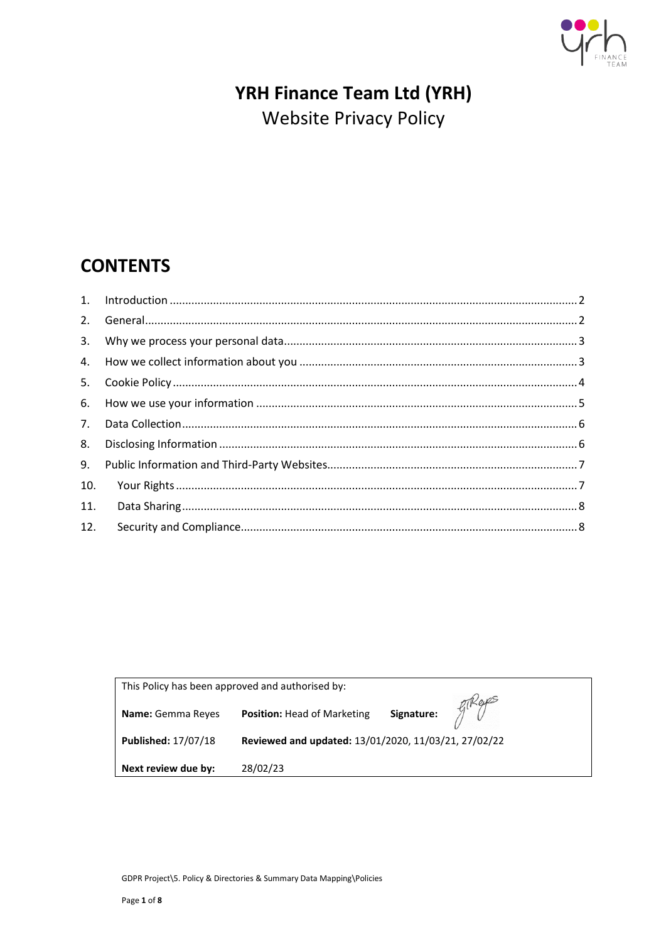

# YRH Finance Team Ltd (YRH) **Website Privacy Policy**

## **CONTENTS**

| 2.  |  |
|-----|--|
|     |  |
|     |  |
| 5.  |  |
|     |  |
| 7.  |  |
| 8.  |  |
| 9.  |  |
| 10. |  |
| 11. |  |
| 12. |  |
|     |  |

| This Policy has been approved and authorised by: |                                                                                              |  |  |  |  |
|--------------------------------------------------|----------------------------------------------------------------------------------------------|--|--|--|--|
| <b>Name:</b> Gemma Reyes                         | Signature: $\int_{0}^{\infty}$ $\mathbb{R}e^{i\theta}$<br><b>Position: Head of Marketing</b> |  |  |  |  |
| Published: 17/07/18                              | Reviewed and updated: 13/01/2020, 11/03/21, 27/02/22                                         |  |  |  |  |
| Next review due by:                              | 28/02/23                                                                                     |  |  |  |  |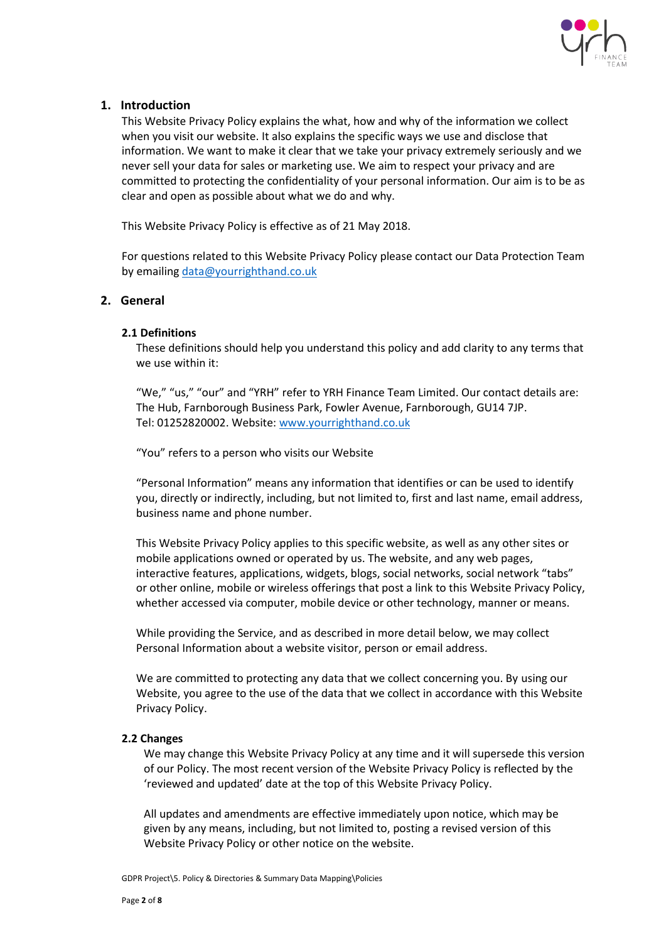

## <span id="page-1-0"></span>**1. Introduction**

This Website Privacy Policy explains the what, how and why of the information we collect when you visit our website. It also explains the specific ways we use and disclose that information. We want to make it clear that we take your privacy extremely seriously and we never sell your data for sales or marketing use. We aim to respect your privacy and are committed to protecting the confidentiality of your personal information. Our aim is to be as clear and open as possible about what we do and why.

This Website Privacy Policy is effective as of 21 May 2018.

For questions related to this Website Privacy Policy please contact our Data Protection Team by emailing [data@yourrighthand.co.uk](mailto:data@yourrighthand.co.uk)

## <span id="page-1-1"></span>**2. [General](https://www.communigator.co.uk/privacy-policy/#gb)**

## **2.1 Definitions**

These definitions should help you understand this policy and add clarity to any terms that we use within it:

"We," "us," "our" and "YRH" refer to YRH Finance Team Limited. Our contact details are: The Hub, Farnborough Business Park, Fowler Avenue, Farnborough, GU14 7JP. Tel: 01252820002. Website[: www.yourrighthand.co.uk](http://www.yourrighthand.co.uk/)

"You" refers to a person who visits our Website

"Personal Information" means any information that identifies or can be used to identify you, directly or indirectly, including, but not limited to, first and last name, email address, business name and phone number.

This Website Privacy Policy applies to this specific website, as well as any other sites or mobile applications owned or operated by us. The website, and any web pages, interactive features, applications, widgets, blogs, social networks, social network "tabs" or other online, mobile or wireless offerings that post a link to this Website Privacy Policy, whether accessed via computer, mobile device or other technology, manner or means.

While providing the Service, and as described in more detail below, we may collect Personal Information about a website visitor, person or email address.

We are committed to protecting any data that we collect concerning you. By using our Website, you agree to the use of the data that we collect in accordance with this Website Privacy Policy.

## **2.2 Changes**

We may change this Website Privacy Policy at any time and it will supersede this version of our Policy. The most recent version of the Website Privacy Policy is reflected by the 'reviewed and updated' date at the top of this Website Privacy Policy.

All updates and amendments are effective immediately upon notice, which may be given by any means, including, but not limited to, posting a revised version of this Website Privacy Policy or other notice on the website.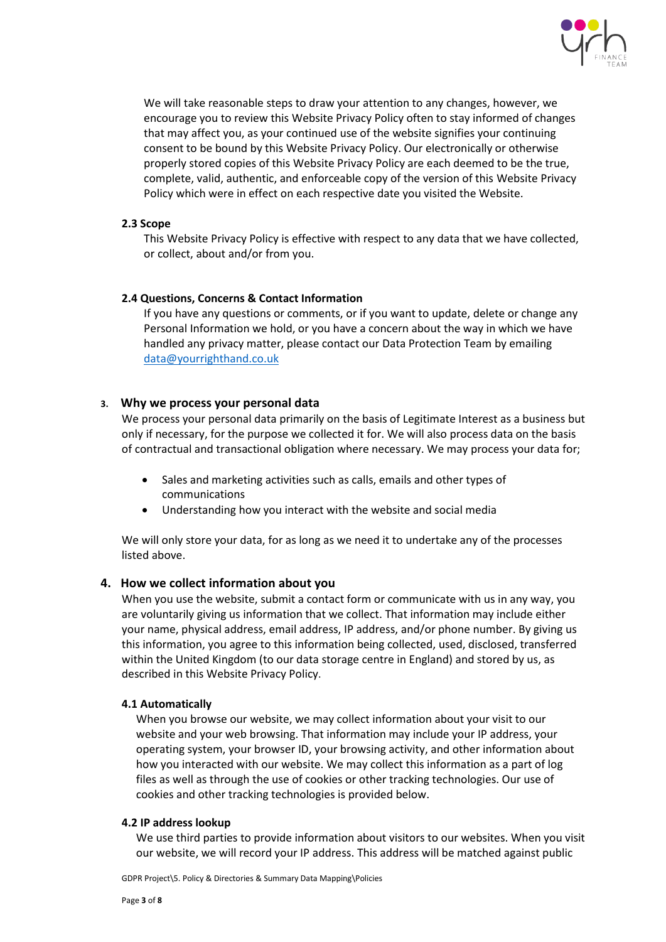

We will take reasonable steps to draw your attention to any changes, however, we encourage you to review this Website Privacy Policy often to stay informed of changes that may affect you, as your continued use of the website signifies your continuing consent to be bound by this Website Privacy Policy. Our electronically or otherwise properly stored copies of this Website Privacy Policy are each deemed to be the true, complete, valid, authentic, and enforceable copy of the version of this Website Privacy Policy which were in effect on each respective date you visited the Website.

#### **2.3 Scope**

This Website Privacy Policy is effective with respect to any data that we have collected, or collect, about and/or from you.

#### **2.4 Questions, Concerns & Contact Information**

If you have any questions or comments, or if you want to update, delete or change any Personal Information we hold, or you have a concern about the way in which we have handled any privacy matter, please contact our Data Protection Team by emailing [data@yourrighthand.co.uk](mailto:data@yourrighthand.co.uk)

## <span id="page-2-0"></span>**3. [Why we process your personal data](https://www.communigator.co.uk/privacy-policy/#wwpypd)**

We process your personal data primarily on the basis of Legitimate Interest as a business but only if necessary, for the purpose we collected it for. We will also process data on the basis of contractual and transactional obligation where necessary. We may process your data for;

- Sales and marketing activities such as calls, emails and other types of communications
- Understanding how you interact with the website and social media

We will only store your data, for as long as we need it to undertake any of the processes listed above.

## <span id="page-2-1"></span>**4. [How we collect information about you](https://www.communigator.co.uk/privacy-policy/#aboutyou)**

When you use the website, submit a contact form or communicate with us in any way, you are voluntarily giving us information that we collect. That information may include either your name, physical address, email address, IP address, and/or phone number. By giving us this information, you agree to this information being collected, used, disclosed, transferred within the United Kingdom (to our data storage centre in England) and stored by us, as described in this Website Privacy Policy.

## **4.1 Automatically**

When you browse our website, we may collect information about your visit to our website and your web browsing. That information may include your IP address, your operating system, your browser ID, your browsing activity, and other information about how you interacted with our website. We may collect this information as a part of log files as well as through the use of cookies or other tracking technologies. Our use of cookies and other tracking technologies is provided below.

#### **4.2 IP address lookup**

We use third parties to provide information about visitors to our websites. When you visit our website, we will record your IP address. This address will be matched against public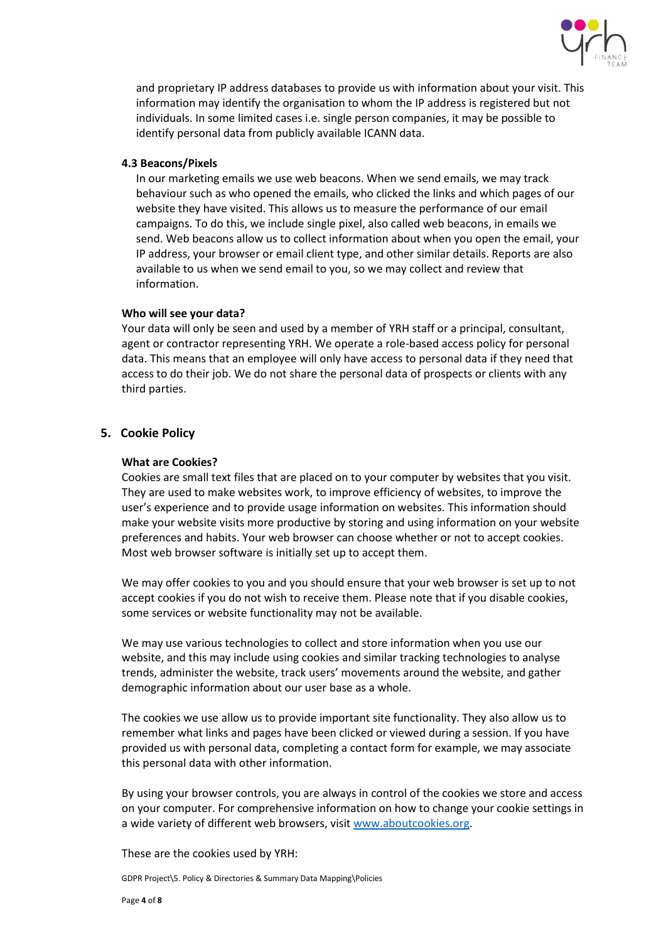

and proprietary IP address databases to provide us with information about your visit. This information may identify the organisation to whom the IP address is registered but not individuals. In some limited cases i.e. single person companies, it may be possible to identify personal data from publicly available ICANN data.

#### **4.3 Beacons/Pixels**

In our marketing emails we use web beacons. When we send emails, we may track behaviour such as who opened the emails, who clicked the links and which pages of our website they have visited. This allows us to measure the performance of our email campaigns. To do this, we include single pixel, also called web beacons, in emails we send. Web beacons allow us to collect information about when you open the email, your IP address, your browser or email client type, and other similar details. Reports are also available to us when we send email to you, so we may collect and review that information.

#### **Who will see your data?**

Your data will only be seen and used by a member of YRH staff or a principal, consultant, agent or contractor representing YRH. We operate a role-based access policy for personal data. This means that an employee will only have access to personal data if they need that access to do their job. We do not share the personal data of prospects or clients with any third parties.

## <span id="page-3-0"></span>**5. Cookie Policy**

#### **What are Cookies?**

Cookies are small text files that are placed on to your computer by websites that you visit. They are used to make websites work, to improve efficiency of websites, to improve the user's experience and to provide usage information on websites. This information should make your website visits more productive by storing and using information on your website preferences and habits. Your web browser can choose whether or not to accept cookies. Most web browser software is initially set up to accept them.

We may offer cookies to you and you should ensure that your web browser is set up to not accept cookies if you do not wish to receive them. Please note that if you disable cookies, some services or website functionality may not be available.

We may use various technologies to collect and store information when you use our website, and this may include using cookies and similar tracking technologies to analyse trends, administer the website, track users' movements around the website, and gather demographic information about our user base as a whole.

The cookies we use allow us to provide important site functionality. They also allow us to remember what links and pages have been clicked or viewed during a session. If you have provided us with personal data, completing a contact form for example, we may associate this personal data with other information.

By using your browser controls, you are always in control of the cookies we store and access on your computer. For comprehensive information on how to change your cookie settings in a wide variety of different web browsers, visit [www.aboutcookies.org.](http://www.aboutcookies.org/)

These are the cookies used by YRH: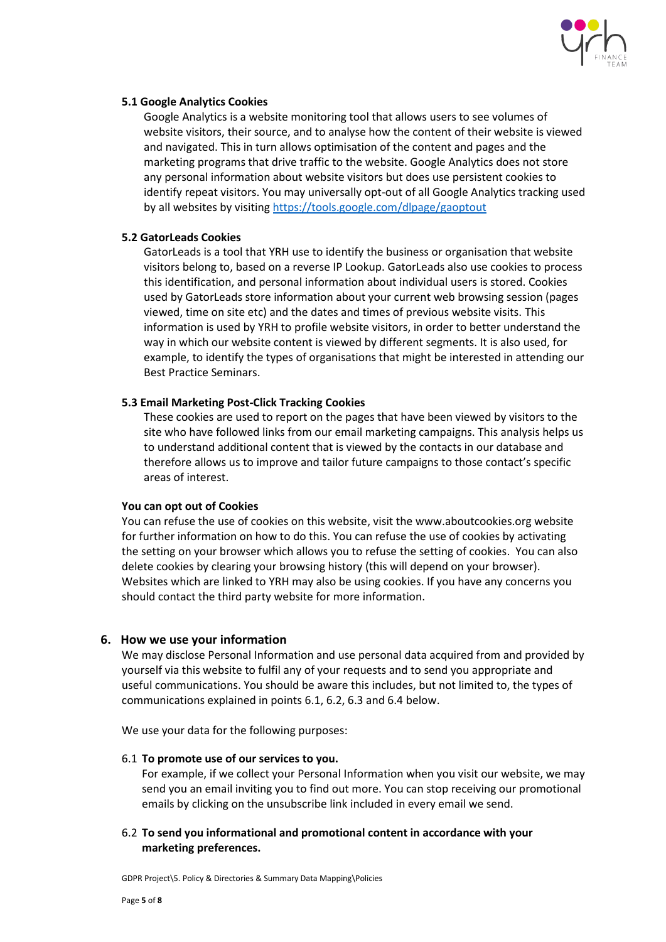

#### **5.1 Google Analytics Cookies**

Google Analytics is a website monitoring tool that allows users to see volumes of website visitors, their source, and to analyse how the content of their website is viewed and navigated. This in turn allows optimisation of the content and pages and the marketing programs that drive traffic to the website. Google Analytics does not store any personal information about website visitors but does use persistent cookies to identify repeat visitors. You may universally opt-out of all Google Analytics tracking used by all websites by visiting <https://tools.google.com/dlpage/gaoptout>

#### **5.2 GatorLeads Cookies**

GatorLeads is a tool that YRH use to identify the business or organisation that website visitors belong to, based on a reverse IP Lookup. GatorLeads also use cookies to process this identification, and personal information about individual users is stored. Cookies used by GatorLeads store information about your current web browsing session (pages viewed, time on site etc) and the dates and times of previous website visits. This information is used by YRH to profile website visitors, in order to better understand the way in which our website content is viewed by different segments. It is also used, for example, to identify the types of organisations that might be interested in attending our Best Practice Seminars.

## **5.3 Email Marketing Post-Click Tracking Cookies**

These cookies are used to report on the pages that have been viewed by visitors to the site who have followed links from our email marketing campaigns. This analysis helps us to understand additional content that is viewed by the contacts in our database and therefore allows us to improve and tailor future campaigns to those contact's specific areas of interest.

#### **You can opt out of Cookies**

You can refuse the use of cookies on this website, visit the www.aboutcookies.org website for further information on how to do this. You can refuse the use of cookies by activating the setting on your browser which allows you to refuse the setting of cookies. You can also delete cookies by clearing your browsing history (this will depend on your browser). Websites which are linked to YRH may also be using cookies. If you have any concerns you should contact the third party website for more information.

## <span id="page-4-0"></span>**6. How we use your information**

We may disclose Personal Information and use personal data acquired from and provided by yourself via this website to fulfil any of your requests and to send you appropriate and useful communications. You should be aware this includes, but not limited to, the types of communications explained in points 6.1, 6.2, 6.3 and 6.4 below.

We use your data for the following purposes:

#### 6.1 **To promote use of our services to you.**

For example, if we collect your Personal Information when you visit our website, we may send you an email inviting you to find out more. You can stop receiving our promotional emails by clicking on the unsubscribe link included in every email we send.

## 6.2 **To send you informational and promotional content in accordance with your marketing preferences.**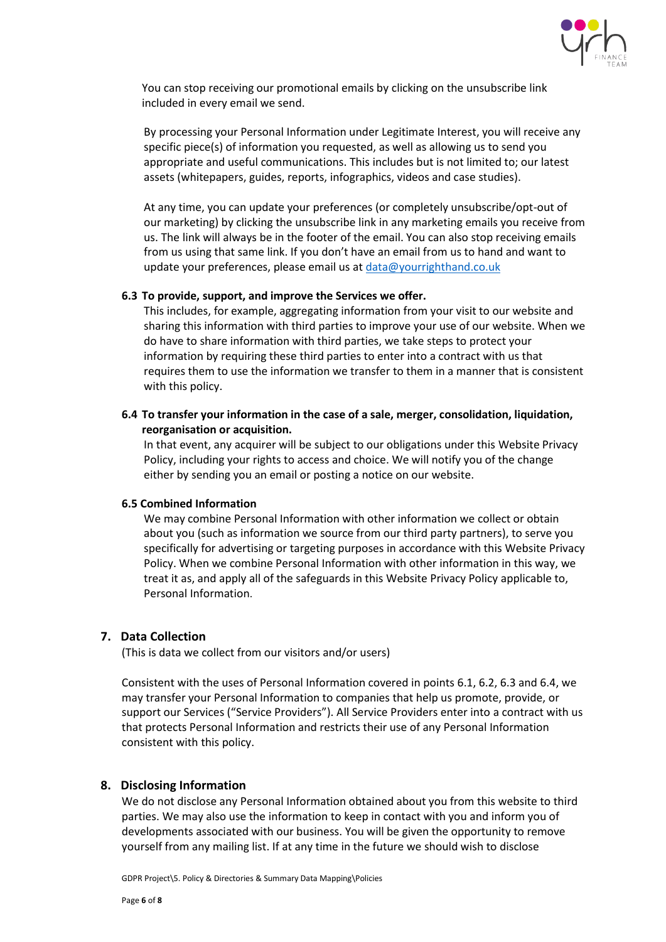

You can stop receiving our promotional emails by clicking on the unsubscribe link included in every email we send.

By processing your Personal Information under Legitimate Interest, you will receive any specific piece(s) of information you requested, as well as allowing us to send you appropriate and useful communications. This includes but is not limited to; our latest assets (whitepapers, guides, reports, infographics, videos and case studies).

At any time, you can update your preferences (or completely unsubscribe/opt-out of our marketing) by clicking the unsubscribe link in any marketing emails you receive from us. The link will always be in the footer of the email. You can also stop receiving emails from us using that same link. If you don't have an email from us to hand and want to update your preferences, please email us at [data@yourrighthand.co.uk](mailto:data@yourrighthand.co.uk)

#### **6.3 To provide, support, and improve the Services we offer.**

This includes, for example, aggregating information from your visit to our website and sharing this information with third parties to improve your use of our website. When we do have to share information with third parties, we take steps to protect your information by requiring these third parties to enter into a contract with us that requires them to use the information we transfer to them in a manner that is consistent with this policy.

## **6.4 To transfer your information in the case of a sale, merger, consolidation, liquidation, reorganisation or acquisition.**

In that event, any acquirer will be subject to our obligations under this Website Privacy Policy, including your rights to access and choice. We will notify you of the change either by sending you an email or posting a notice on our website.

#### **6.5 Combined Information**

We may combine Personal Information with other information we collect or obtain about you (such as information we source from our third party partners), to serve you specifically for advertising or targeting purposes in accordance with this Website Privacy Policy. When we combine Personal Information with other information in this way, we treat it as, and apply all of the safeguards in this Website Privacy Policy applicable to, Personal Information.

## <span id="page-5-0"></span>**7. Data Collection**

(This is data we collect from our visitors and/or users)

Consistent with the uses of Personal Information covered in points 6.1, 6.2, 6.3 and 6.4, we may transfer your Personal Information to companies that help us promote, provide, or support our Services ("Service Providers"). All Service Providers enter into a contract with us that protects Personal Information and restricts their use of any Personal Information consistent with this policy.

## <span id="page-5-1"></span>**8. Disclosing Information**

We do not disclose any Personal Information obtained about you from this website to third parties. We may also use the information to keep in contact with you and inform you of developments associated with our business. You will be given the opportunity to remove yourself from any mailing list. If at any time in the future we should wish to disclose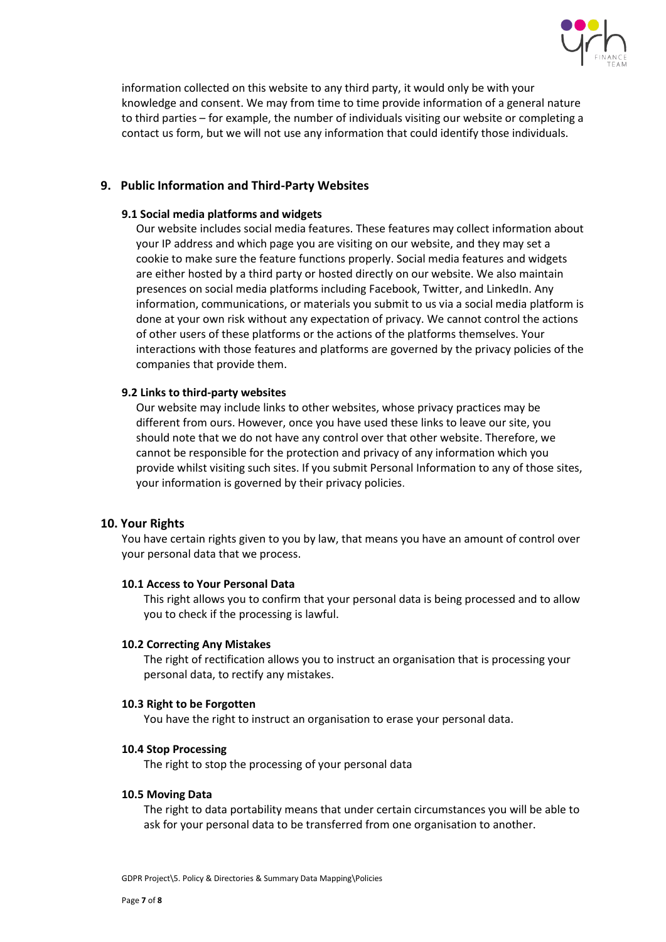

information collected on this website to any third party, it would only be with your knowledge and consent. We may from time to time provide information of a general nature to third parties – for example, the number of individuals visiting our website or completing a contact us form, but we will not use any information that could identify those individuals.

## <span id="page-6-0"></span>**9. [Public Information and Third-Party Websites](https://www.communigator.co.uk/privacy-policy/#third)**

#### **9.1 Social media platforms and widgets**

Our website includes social media features. These features may collect information about your IP address and which page you are visiting on our website, and they may set a cookie to make sure the feature functions properly. Social media features and widgets are either hosted by a third party or hosted directly on our website. We also maintain presences on social media platforms including Facebook, Twitter, and LinkedIn. Any information, communications, or materials you submit to us via a social media platform is done at your own risk without any expectation of privacy. We cannot control the actions of other users of these platforms or the actions of the platforms themselves. Your interactions with those features and platforms are governed by the privacy policies of the companies that provide them.

## **9.2 Links to third-party websites**

Our website may include links to other websites, whose privacy practices may be different from ours. However, once you have used these links to leave our site, you should note that we do not have any control over that other website. Therefore, we cannot be responsible for the protection and privacy of any information which you provide whilst visiting such sites. If you submit Personal Information to any of those sites, your information is governed by their privacy policies.

## <span id="page-6-1"></span>**10. Your Rights**

You have certain rights given to you by law, that means you have an amount of control over your personal data that we process.

## **10.1 Access to Your Personal Data**

This right allows you to confirm that your personal data is being processed and to allow you to check if the processing is lawful.

## **10.2 Correcting Any Mistakes**

The right of rectification allows you to instruct an organisation that is processing your personal data, to rectify any mistakes.

## **10.3 Right to be Forgotten**

You have the right to instruct an organisation to erase your personal data.

## **10.4 Stop Processing**

The right to stop the processing of your personal data

## **10.5 Moving Data**

The right to data portability means that under certain circumstances you will be able to ask for your personal data to be transferred from one organisation to another.